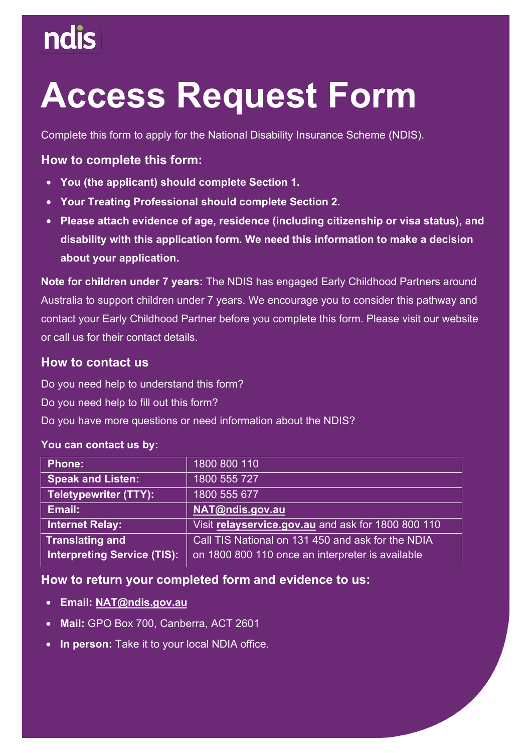# **Access Request Form**

Complete this form to apply for the National Disability Insurance Scheme (NDIS).

#### **How to complete this form:**

- **You (the applicant) should complete Section 1.**
- **Your Treating Professional should complete Section 2.**
- **disability with this application form. We need this information to make a decision**  • **Please attach evidence of age, residence (including citizenship or visa status), and about your application.**

 Australia to support children under 7 years. We encourage you to consider this pathway and **Note for children under 7 years:** The NDIS has engaged Early Childhood Partners around contact your Early Childhood Partner before you complete this form. Please visit our website or call us for their contact details.

#### **How to contact us**

Do you need help to understand this form?

Do you need help to fill out this form?

Do you have more questions or need information about the NDIS?

#### **You can contact us by:**

| 1800 800 110                                       |
|----------------------------------------------------|
| 1800 555 727                                       |
| 1800 555 677                                       |
| NAT@ndis.gov.au                                    |
| Visit relayservice.gov.au and ask for 1800 800 110 |
| Call TIS National on 131 450 and ask for the NDIA  |
| on 1800 800 110 once an interpreter is available   |
|                                                    |

#### **How to return your completed form and evidence to us:**

- **Ema[il: NAT@ndis.gov.au](mailto:NAT@ndis.gov.au)**
- **Mail:** GPO Box 700, Canberra, ACT 2601
- **In person:** Take it to your local NDIA office.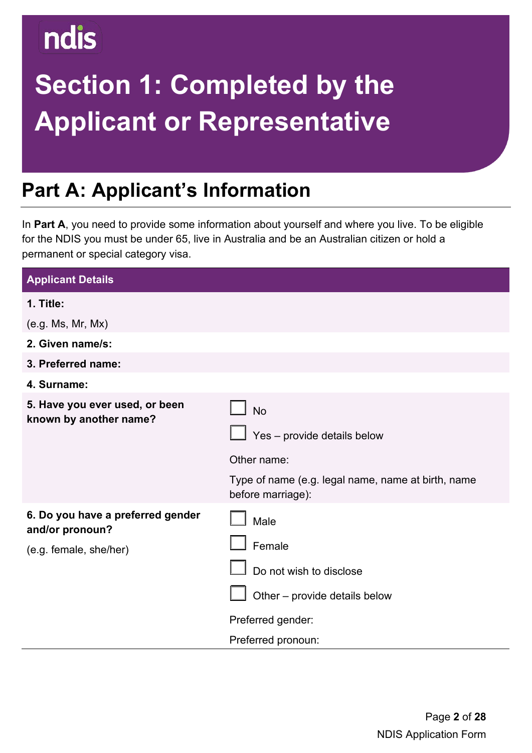# **Section 1: Completed by the Applicant or Representative**

## **Part A: Applicant's Information**

In **Part A**, you need to provide some information about yourself and where you live. To be eligible for the NDIS you must be under 65, live in Australia and be an Australian citizen or hold a permanent or special category visa.

| <b>Applicant Details</b>                                                       |                                                                                                                                    |
|--------------------------------------------------------------------------------|------------------------------------------------------------------------------------------------------------------------------------|
| 1. Title:                                                                      |                                                                                                                                    |
| (e.g. Ms, Mr, Mx)                                                              |                                                                                                                                    |
| 2. Given name/s:                                                               |                                                                                                                                    |
| 3. Preferred name:                                                             |                                                                                                                                    |
| 4. Surname:                                                                    |                                                                                                                                    |
| 5. Have you ever used, or been<br>known by another name?                       | <b>No</b><br>Yes - provide details below<br>Other name:<br>Type of name (e.g. legal name, name at birth, name<br>before marriage): |
| 6. Do you have a preferred gender<br>and/or pronoun?<br>(e.g. female, she/her) | Male<br>Female<br>Do not wish to disclose<br>Other - provide details below<br>Preferred gender:<br>Preferred pronoun:              |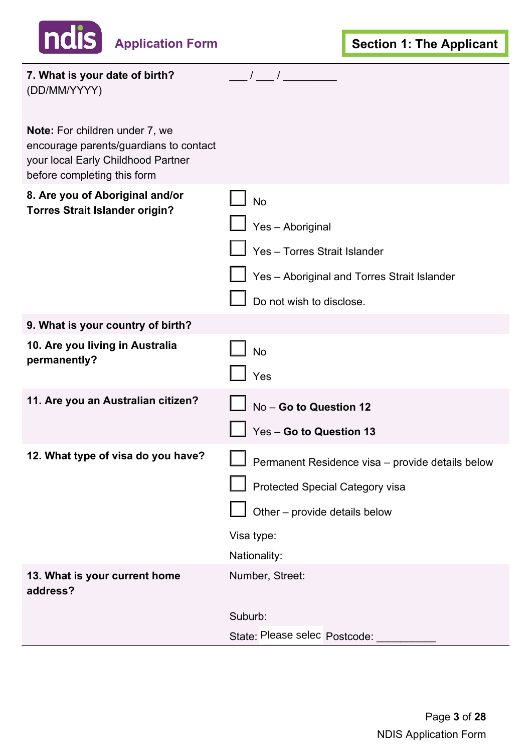| <b>Application Form</b>                                                                                                                       | <b>Section 1: The Applicant</b>                                                                                                                    |
|-----------------------------------------------------------------------------------------------------------------------------------------------|----------------------------------------------------------------------------------------------------------------------------------------------------|
|                                                                                                                                               |                                                                                                                                                    |
| 7. What is your date of birth?<br>(DD/MM/YYYY)                                                                                                | $\frac{1}{2}$                                                                                                                                      |
| Note: For children under 7, we<br>encourage parents/guardians to contact<br>your local Early Childhood Partner<br>before completing this form |                                                                                                                                                    |
| 8. Are you of Aboriginal and/or<br><b>Torres Strait Islander origin?</b>                                                                      | <b>No</b><br>Yes - Aboriginal<br>Yes - Torres Strait Islander<br>Yes - Aboriginal and Torres Strait Islander<br>Do not wish to disclose.           |
| 9. What is your country of birth?                                                                                                             |                                                                                                                                                    |
| 10. Are you living in Australia<br>permanently?                                                                                               | <b>No</b><br>Yes                                                                                                                                   |
| 11. Are you an Australian citizen?                                                                                                            | No - Go to Question 12<br>Yes - Go to Question 13                                                                                                  |
| 12. What type of visa do you have?                                                                                                            | Permanent Residence visa - provide details below<br>Protected Special Category visa<br>Other - provide details below<br>Visa type:<br>Nationality: |
| 13. What is your current home<br>address?                                                                                                     | Number, Street:<br>Suburb:<br>State: Please selec Postcode:                                                                                        |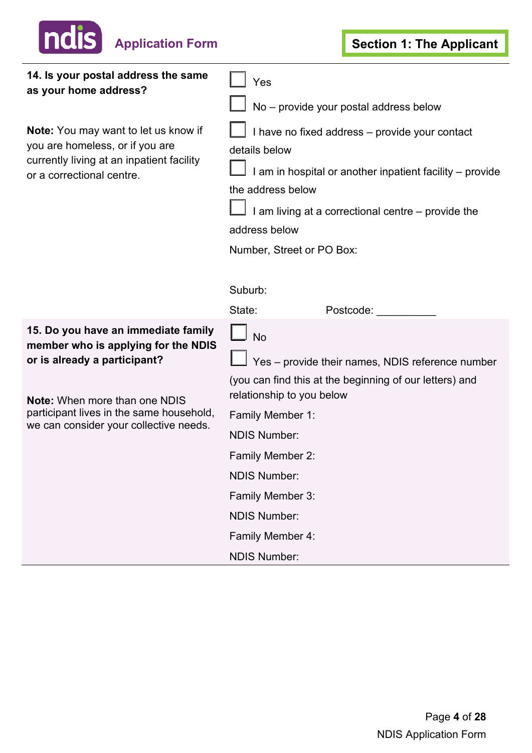

| 14. Is your postal address the same<br>as your home address?                                                                                      | Yes<br>No - provide your postal address below                                                                                                                                                                                                                   |                                                                                                             |  |  |
|---------------------------------------------------------------------------------------------------------------------------------------------------|-----------------------------------------------------------------------------------------------------------------------------------------------------------------------------------------------------------------------------------------------------------------|-------------------------------------------------------------------------------------------------------------|--|--|
| Note: You may want to let us know if<br>you are homeless, or if you are<br>currently living at an inpatient facility<br>or a correctional centre. | I have no fixed address - provide your contact<br>details below<br>I am in hospital or another inpatient facility - provide<br>the address below<br>I am living at a correctional centre – provide the<br>address below<br>Number, Street or PO Box:<br>Suburb: |                                                                                                             |  |  |
|                                                                                                                                                   | State:                                                                                                                                                                                                                                                          | Postcode:                                                                                                   |  |  |
| 15. Do you have an immediate family<br>member who is applying for the NDIS<br>or is already a participant?                                        | <b>No</b>                                                                                                                                                                                                                                                       | Yes - provide their names, NDIS reference number<br>(you can find this at the beginning of our letters) and |  |  |
| <b>Note:</b> When more than one NDIS                                                                                                              | relationship to you below                                                                                                                                                                                                                                       |                                                                                                             |  |  |
| participant lives in the same household,<br>we can consider your collective needs.                                                                | Family Member 1:                                                                                                                                                                                                                                                |                                                                                                             |  |  |
|                                                                                                                                                   | <b>NDIS Number:</b>                                                                                                                                                                                                                                             |                                                                                                             |  |  |
|                                                                                                                                                   | Family Member 2:                                                                                                                                                                                                                                                |                                                                                                             |  |  |
|                                                                                                                                                   | <b>NDIS Number:</b>                                                                                                                                                                                                                                             |                                                                                                             |  |  |
|                                                                                                                                                   | Family Member 3:                                                                                                                                                                                                                                                |                                                                                                             |  |  |
|                                                                                                                                                   | <b>NDIS Number:</b>                                                                                                                                                                                                                                             |                                                                                                             |  |  |
|                                                                                                                                                   | Family Member 4:                                                                                                                                                                                                                                                |                                                                                                             |  |  |
|                                                                                                                                                   | <b>NDIS Number:</b>                                                                                                                                                                                                                                             |                                                                                                             |  |  |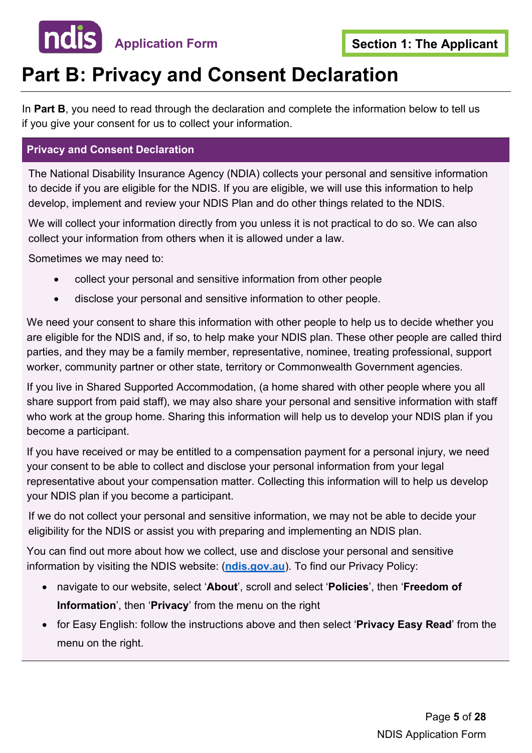

### **Part B: Privacy and Consent Declaration**

In **Part B**, you need to read through the declaration and complete the information below to tell us if you give your consent for us to collect your information.

#### **Privacy and Consent Declaration**

The National Disability Insurance Agency (NDIA) collects your personal and sensitive information to decide if you are eligible for the NDIS. If you are eligible, we will use this information to help develop, implement and review your NDIS Plan and do other things related to the NDIS.

We will collect your information directly from you unless it is not practical to do so. We can also collect your information from others when it is allowed under a law.

Sometimes we may need to:

- collect your personal and sensitive information from other people
- disclose your personal and sensitive information to other people.

We need your consent to share this information with other people to help us to decide whether you are eligible for the NDIS and, if so, to help make your NDIS plan. These other people are called third parties, and they may be a family member, representative, nominee, treating professional, support worker, community partner or other state, territory or Commonwealth Government agencies.

If you live in Shared Supported Accommodation, (a home shared with other people where you all share support from paid staff), we may also share your personal and sensitive information with staff who work at the group home. Sharing this information will help us to develop your NDIS plan if you become a participant.

 representative about your compensation matter. Collecting this information will to help us develop If you have received or may be entitled to a compensation payment for a personal injury, we need your consent to be able to collect and disclose your personal information from your legal your NDIS plan if you become a participant.

If we do not collect your personal and sensitive information, we may not be able to decide your eligibility for the NDIS or assist you with preparing and implementing an NDIS plan.

You can find out more about how we collect, use and disclose your personal and sensitive information by visiting the NDIS website: (**[ndis.gov.au](https://www.ndis.gov.au/)**). To find our Privacy Policy:

- navigate to our website, select '**About**', scroll and select '**Policies**', then '**Freedom of Information**', then '**Privacy**' from the menu on the right
- • for Easy English: follow the instructions above and then select '**Privacy Easy Read**' from the menu on the right.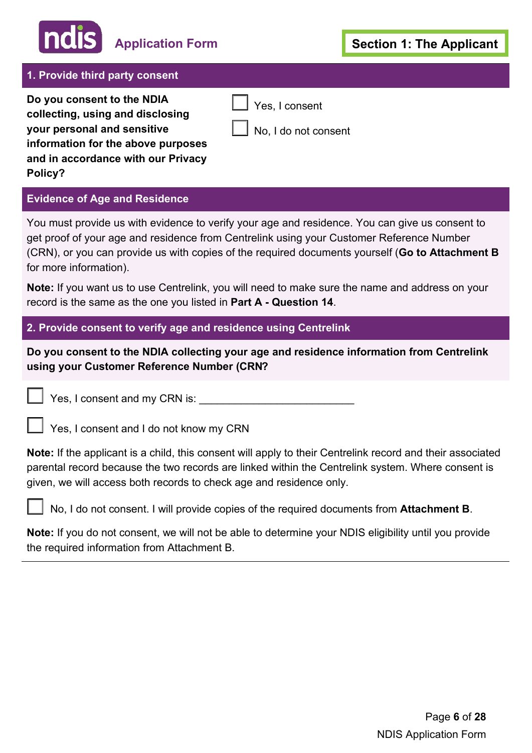## **Application Form**

#### **1. Provide third party consent**

**Do you consent to the NDIA collecting, using and disclosing your personal and sensitive information for the above purposes and in accordance with our Privacy Policy?** 

#### **Evidence of Age and Residence**

You must provide us with evidence to verify your age and residence. You can give us consent to get proof of your age and residence from Centrelink using your Customer Reference Number (CRN), or you can provide us with copies of the required documents yourself (**Go to Attachment B**  for more information).

Yes, I consent

No, I do not consent

 $\overline{\phantom{a}}$ 

 **Note:** If you want us to use Centrelink, you will need to make sure the name and address on your record is the same as the one you listed in **Part A - Question 14**.

**2. Provide consent to verify age and residence using Centrelink**

**Do you consent to the NDIA collecting your age and residence information from Centrelink using your Customer Reference Number (CRN?** 

Yes, I consent and my CRN is: \_\_\_\_\_\_\_\_\_\_\_\_\_\_\_\_\_\_\_\_\_\_\_\_\_\_

|  | Yes, I consent and I do not know my CRN |  |  |  |
|--|-----------------------------------------|--|--|--|
|--|-----------------------------------------|--|--|--|

**Note:** If the applicant is a child, this consent will apply to their Centrelink record and their associated parental record because the two records are linked within the Centrelink system. Where consent is given, we will access both records to check age and residence only.

No, I do not consent. I will provide copies of the required documents from **Attachment B**.

**Note:** If you do not consent, we will not be able to determine your NDIS eligibility until you provide the required information from Attachment B.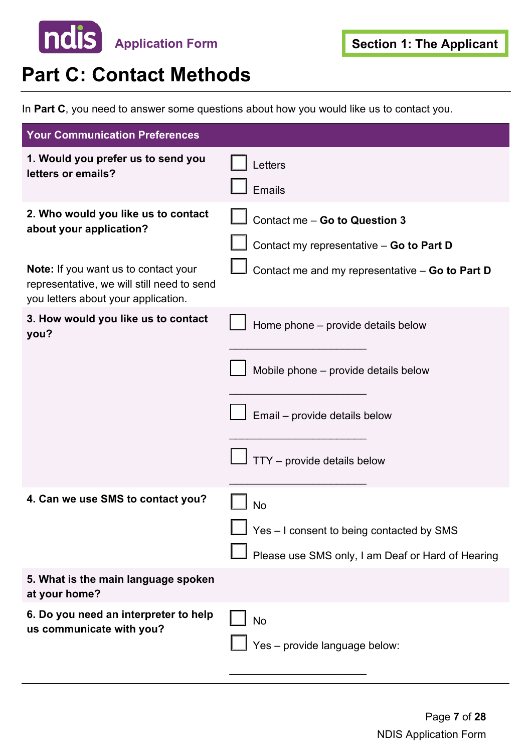

### **Part C: Contact Methods**

In **Part C**, you need to answer some questions about how you would like us to contact you.

| <b>Your Communication Preferences</b>                                                                                            |                                                                                                                                            |
|----------------------------------------------------------------------------------------------------------------------------------|--------------------------------------------------------------------------------------------------------------------------------------------|
| 1. Would you prefer us to send you<br>letters or emails?                                                                         | Letters<br>Emails                                                                                                                          |
| 2. Who would you like us to contact<br>about your application?                                                                   | Contact me - Go to Question 3<br>Contact my representative - Go to Part D                                                                  |
| <b>Note:</b> If you want us to contact your<br>representative, we will still need to send<br>you letters about your application. | Contact me and my representative - Go to Part D                                                                                            |
| 3. How would you like us to contact<br>you?                                                                                      | Home phone - provide details below<br>Mobile phone - provide details below<br>Email - provide details below<br>TTY - provide details below |
| 4. Can we use SMS to contact you?                                                                                                | No<br>Yes - I consent to being contacted by SMS<br>Please use SMS only, I am Deaf or Hard of Hearing                                       |
| 5. What is the main language spoken<br>at your home?                                                                             |                                                                                                                                            |
| 6. Do you need an interpreter to help<br>us communicate with you?                                                                | <b>No</b><br>Yes - provide language below:                                                                                                 |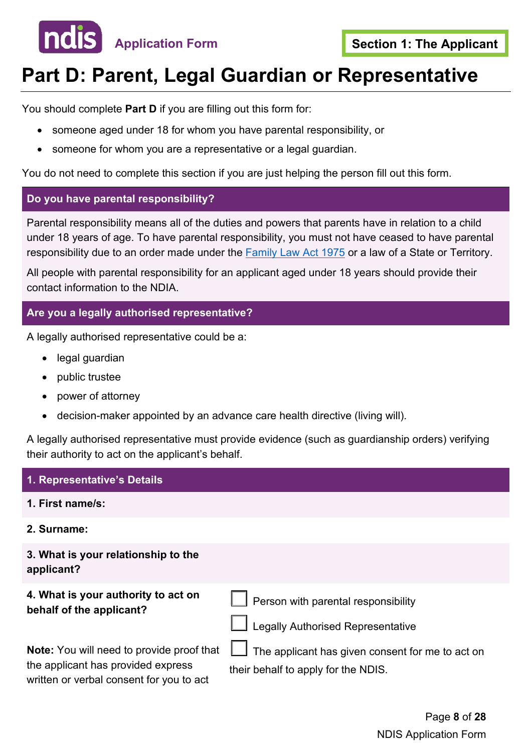

## **Part D: Parent, Legal Guardian or Representative**

You should complete **Part D** if you are filling out this form for:

- someone aged under 18 for whom you have parental responsibility, or
- someone for whom you are a representative or a legal guardian.

You do not need to complete this section if you are just helping the person fill out this form.

#### **Do you have parental responsibility?**

Parental responsibility means all of the duties and powers that parents have in relation to a child under 18 years of age. To have parental responsibility, you must not have ceased to have parental responsibility due to an order made under the [Family Law Act 1975](https://www.legislation.gov.au/Details/C2020C00374) or a law of a State or Territory.

All people with parental responsibility for an applicant aged under 18 years should provide their contact information to the NDIA.

#### **Are you a legally authorised representative?**

A legally authorised representative could be a:

- legal quardian
- public trustee
- power of attorney
- decision-maker appointed by an advance care health directive (living will).

A legally authorised representative must provide evidence (such as guardianship orders) verifying their authority to act on the applicant's behalf.

#### **1. Representative's Details**

- **1. First name/s:**
- **2. Surname:**

**3. What is your relationship to the applicant?**

**4. What is your authority to act on behalf of the applicant?**

 $\overline{\phantom{a}}$ Person with parental responsibility

 the applicant has provided express **Note:** You will need to provide proof that written or verbal consent for you to act

 $\mathsf{I}$ Legally Authorised Representative

 $\mathsf{I}$  The applicant has given consent for me to act on their behalf to apply for the NDIS.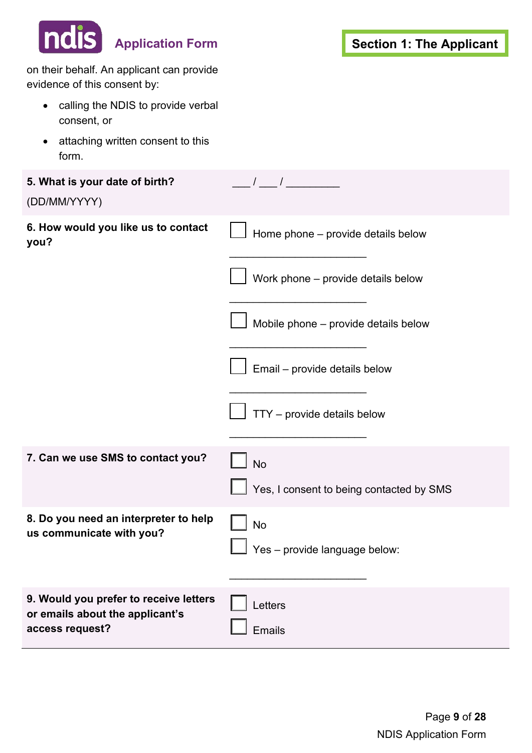| <b>ndis</b><br><b>Application Form</b>                                    | <b>Section 1: The Applicant</b>                                                                                                                                                                                                                                                                                                                                                                                       |
|---------------------------------------------------------------------------|-----------------------------------------------------------------------------------------------------------------------------------------------------------------------------------------------------------------------------------------------------------------------------------------------------------------------------------------------------------------------------------------------------------------------|
| on their behalf. An applicant can provide<br>evidence of this consent by: |                                                                                                                                                                                                                                                                                                                                                                                                                       |
| calling the NDIS to provide verbal<br>$\bullet$<br>consent, or            |                                                                                                                                                                                                                                                                                                                                                                                                                       |
| attaching written consent to this<br>$\bullet$<br>form.                   |                                                                                                                                                                                                                                                                                                                                                                                                                       |
| 5. What is your date of birth?<br>(DD/MM/YYYY)                            | $\frac{1}{1-\frac{1}{1-\frac{1}{1-\frac{1}{1-\frac{1}{1-\frac{1}{1-\frac{1}{1-\frac{1}{1-\frac{1}{1-\frac{1}{1-\frac{1}{1-\frac{1}{1-\frac{1}{1-\frac{1}{1-\frac{1}{1-\frac{1}{1-\frac{1}{1-\frac{1}{1-\frac{1}{1-\frac{1}{1-\frac{1}{1-\frac{1}{1-\frac{1}{1-\frac{1}{1-\frac{1}{1-\frac{1}{1-\frac{1}{1-\frac{1}{1-\frac{1}{1-\frac{1}{1-\frac{1}{1-\frac{1}{1-\frac{1}{1-\frac{1}{1-\frac{1}{1-\frac{1}{1-\frac{1$ |
| 6. How would you like us to contact<br>you?                               | Home phone - provide details below                                                                                                                                                                                                                                                                                                                                                                                    |
|                                                                           | Work phone - provide details below                                                                                                                                                                                                                                                                                                                                                                                    |
|                                                                           | Mobile phone - provide details below                                                                                                                                                                                                                                                                                                                                                                                  |
|                                                                           | Email - provide details below                                                                                                                                                                                                                                                                                                                                                                                         |
|                                                                           | TTY - provide details below                                                                                                                                                                                                                                                                                                                                                                                           |
| 7. Can we use SMS to contact you?                                         | $\Box$ No                                                                                                                                                                                                                                                                                                                                                                                                             |
|                                                                           | Yes, I consent to being contacted by SMS                                                                                                                                                                                                                                                                                                                                                                              |
| 8. Do you need an interpreter to help<br>us communicate with you?         | <b>No</b>                                                                                                                                                                                                                                                                                                                                                                                                             |
|                                                                           | $\Box$ Yes – provide language below:                                                                                                                                                                                                                                                                                                                                                                                  |
| 9. Would you prefer to receive letters<br>or emails about the applicant's | Letters                                                                                                                                                                                                                                                                                                                                                                                                               |
| access request?                                                           | Emails                                                                                                                                                                                                                                                                                                                                                                                                                |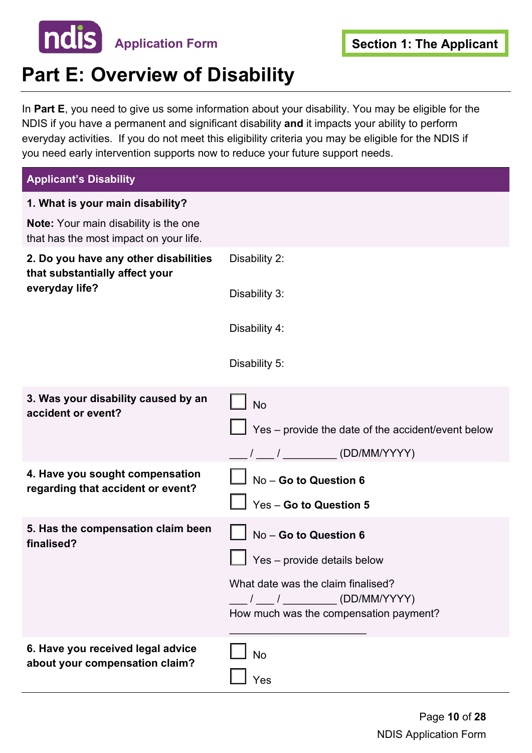

## **Part E: Overview of Disability**

 everyday activities. If you do not meet this eligibility criteria you may be eligible for the NDIS if In **Part E**, you need to give us some information about your disability. You may be eligible for the NDIS if you have a permanent and significant disability **and** it impacts your ability to perform you need early intervention supports now to reduce your future support needs.

| <b>Applicant's Disability</b>                                                          |                                                                                                                                                                                                                                                                                                                                                                                                                       |
|----------------------------------------------------------------------------------------|-----------------------------------------------------------------------------------------------------------------------------------------------------------------------------------------------------------------------------------------------------------------------------------------------------------------------------------------------------------------------------------------------------------------------|
| 1. What is your main disability?                                                       |                                                                                                                                                                                                                                                                                                                                                                                                                       |
| <b>Note:</b> Your main disability is the one<br>that has the most impact on your life. |                                                                                                                                                                                                                                                                                                                                                                                                                       |
| 2. Do you have any other disabilities<br>that substantially affect your                | Disability 2:                                                                                                                                                                                                                                                                                                                                                                                                         |
| everyday life?                                                                         | Disability 3:                                                                                                                                                                                                                                                                                                                                                                                                         |
|                                                                                        | Disability 4:                                                                                                                                                                                                                                                                                                                                                                                                         |
|                                                                                        | Disability 5:                                                                                                                                                                                                                                                                                                                                                                                                         |
| 3. Was your disability caused by an<br>accident or event?                              | <b>No</b>                                                                                                                                                                                                                                                                                                                                                                                                             |
|                                                                                        | $\Box$ Yes – provide the date of the accident/event below                                                                                                                                                                                                                                                                                                                                                             |
|                                                                                        | $\frac{1}{1-\frac{1}{1-\frac{1}{1-\frac{1}{1-\frac{1}{1-\frac{1}{1-\frac{1}{1-\frac{1}{1-\frac{1}{1-\frac{1}{1-\frac{1}{1-\frac{1}{1-\frac{1}{1-\frac{1}{1-\frac{1}{1-\frac{1}{1-\frac{1}{1-\frac{1}{1-\frac{1}{1-\frac{1}{1-\frac{1}{1-\frac{1}{1-\frac{1}{1-\frac{1}{1-\frac{1}{1-\frac{1}{1-\frac{1}{1-\frac{1}{1-\frac{1}{1-\frac{1}{1-\frac{1}{1-\frac{1}{1-\frac{1}{1-\frac{1}{1-\frac{1}{1-\frac{1}{1-\frac{1$ |
| 4. Have you sought compensation<br>regarding that accident or event?                   | No - Go to Question 6                                                                                                                                                                                                                                                                                                                                                                                                 |
|                                                                                        | Yes - Go to Question 5                                                                                                                                                                                                                                                                                                                                                                                                |
| 5. Has the compensation claim been<br>finalised?                                       | No - Go to Question 6                                                                                                                                                                                                                                                                                                                                                                                                 |
|                                                                                        | Yes - provide details below                                                                                                                                                                                                                                                                                                                                                                                           |
|                                                                                        | What date was the claim finalised?                                                                                                                                                                                                                                                                                                                                                                                    |
|                                                                                        | How much was the compensation payment?                                                                                                                                                                                                                                                                                                                                                                                |
| 6. Have you received legal advice                                                      | <b>No</b>                                                                                                                                                                                                                                                                                                                                                                                                             |
| about your compensation claim?                                                         | Yes                                                                                                                                                                                                                                                                                                                                                                                                                   |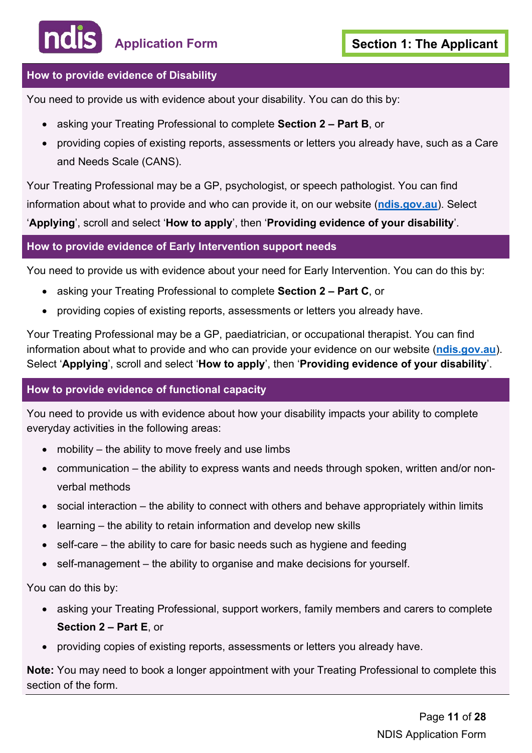#### **How to provide evidence of Disability**

You need to provide us with evidence about your disability. You can do this by:

- asking your Treating Professional to complete **Section 2 Part B**, or
- providing copies of existing reports, assessments or letters you already have, such as a Care and Needs Scale (CANS).

 Your Treating Professional may be a GP, psychologist, or speech pathologist. You can find information about what to provide and who can provide it, on our website (**[ndis.gov.au](https://www.ndis.gov.au/)**). Select '**Applying**', scroll and select '**How to apply**', then '**Providing evidence of your disability**'.

#### **How to provide evidence of Early Intervention support needs**

You need to provide us with evidence about your need for Early Intervention. You can do this by:

- asking your Treating Professional to complete **Section 2 Part C**, or
- providing copies of existing reports, assessments or letters you already have.

 Select '**Applying**', scroll and select '**How to apply**', then '**Providing evidence of your disability**'. Your Treating Professional may be a GP, paediatrician, or occupational therapist. You can find information about what to provide and who can provide your evidence on our website (**[ndis.gov.au](https://www.ndis.gov.au/)**).

#### **How to provide evidence of functional capacity**

You need to provide us with evidence about how your disability impacts your ability to complete everyday activities in the following areas:

- mobility the ability to move freely and use limbs
- communication the ability to express wants and needs through spoken, written and/or nonverbal methods
- social interaction the ability to connect with others and behave appropriately within limits
- learning the ability to retain information and develop new skills
- self-care the ability to care for basic needs such as hygiene and feeding
- self-management the ability to organise and make decisions for yourself.

You can do this by:

- asking your Treating Professional, support workers, family members and carers to complete **Section 2 – Part E**, or
- providing copies of existing reports, assessments or letters you already have.

**Note:** You may need to book a longer appointment with your Treating Professional to complete this section of the form.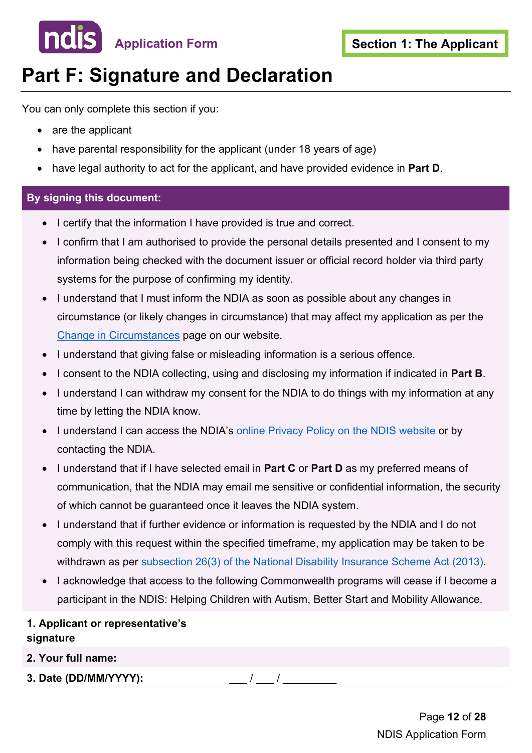

## **Part F: Signature and Declaration**

You can only complete this section if you:

- are the applicant
- have parental responsibility for the applicant (under 18 years of age)
- have legal authority to act for the applicant, and have provided evidence in **Part D**.

#### **By signing this document:**

- I certify that the information I have provided is true and correct.
- I confirm that I am authorised to provide the personal details presented and I consent to my information being checked with the document issuer or official record holder via third party systems for the purpose of confirming my identity.
- circumstance (or likely changes in circumstance) that may affect my application as per the • I understand that I must inform the NDIA as soon as possible about any changes in [Change in Circumstances](https://www.ndis.gov.au/participants/using-your-plan/changing-your-plan/change-circumstances) page on our website.
- I understand that giving false or misleading information is a serious offence.
- I consent to the NDIA collecting, using and disclosing my information if indicated in **Part B**.
- time by letting the NDIA know. • I understand I can withdraw my consent for the NDIA to do things with my information at any
- I understand I can access the NDIA's [online Privacy Policy on the NDIS website](https://www.ndis.gov.au/about-us/policies/privacy) or by contacting the NDIA.
- • I understand that if I have selected email in **Part C** or **Part D** as my preferred means of communication, that the NDIA may email me sensitive or confidential information, the security of which cannot be guaranteed once it leaves the NDIA system.
- • I understand that if further evidence or information is requested by the NDIA and I do not comply with this request within the specified timeframe, my application may be taken to be withdrawn as per [subsection 26\(3\) of the National Disability Insurance Scheme Act \(2013\).](https://www.legislation.gov.au/Details/C2020C00392)
- participant in the NDIS: Helping Children with Autism, Better Start and Mobility Allowance. • I acknowledge that access to the following Commonwealth programs will cease if I become a

#### **1. Applicant or representative's signature**

**2. Your full name:**

**3. Date (DD/MM/YYYY):** \_\_\_ / \_\_\_ / \_\_\_\_\_\_\_\_\_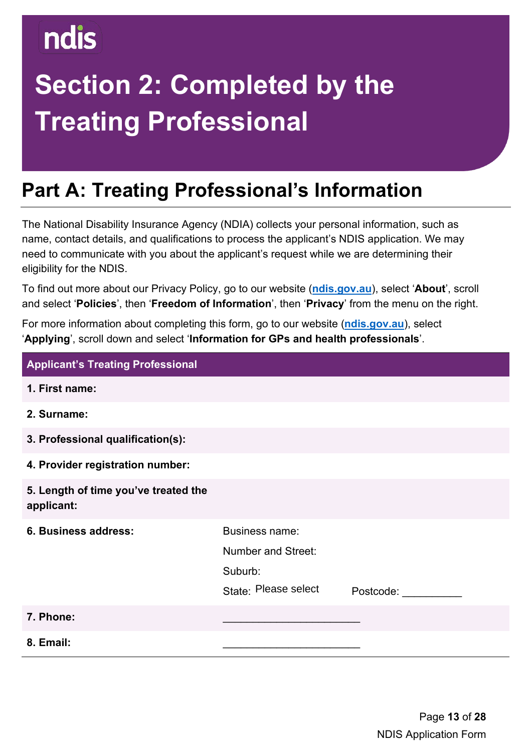# **Section 2: Completed by the Treating Professional**

## **Part A: Treating Professional's Information**

 name, contact details, and qualifications to process the applicant's NDIS application. We may The National Disability Insurance Agency (NDIA) collects your personal information, such as need to communicate with you about the applicant's request while we are determining their eligibility for the NDIS.

To find out more about our Privacy Policy, go to our website (**[ndis.gov.au](https://www.ndis.gov.au/)**), select '**About**', scroll and select '**Policies**', then '**Freedom of Information**', then '**Privacy**' from the menu on the right.

For more information about completing this form, go to our website (**[ndis.gov.au](https://www.ndis.gov.au/)**), select '**Applying**', scroll down and select '**Information for GPs and health professionals**'.

| <b>Applicant's Treating Professional</b>           |                                                                         |           |
|----------------------------------------------------|-------------------------------------------------------------------------|-----------|
| 1. First name:                                     |                                                                         |           |
| 2. Surname:                                        |                                                                         |           |
| 3. Professional qualification(s):                  |                                                                         |           |
| 4. Provider registration number:                   |                                                                         |           |
| 5. Length of time you've treated the<br>applicant: |                                                                         |           |
| 6. Business address:                               | Business name:<br>Number and Street:<br>Suburb:<br>State: Please select | Postcode: |
| 7. Phone:                                          |                                                                         |           |
| 8. Email:                                          |                                                                         |           |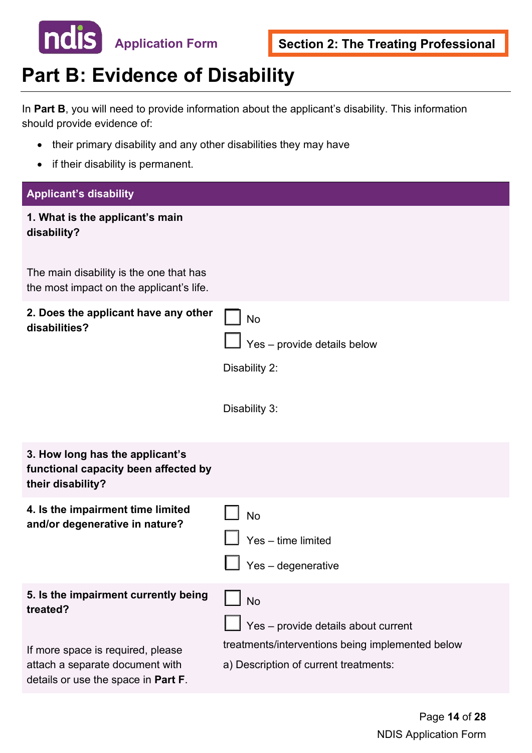

## **Part B: Evidence of Disability**

In **Part B**, you will need to provide information about the applicant's disability. This information should provide evidence of:

- their primary disability and any other disabilities they may have
- if their disability is permanent.

#### **Applicant's disability**

| 1. What is the applicant's main<br>disability?                                                                                                                  |                                                                                                                                               |
|-----------------------------------------------------------------------------------------------------------------------------------------------------------------|-----------------------------------------------------------------------------------------------------------------------------------------------|
| The main disability is the one that has<br>the most impact on the applicant's life.                                                                             |                                                                                                                                               |
| 2. Does the applicant have any other<br>disabilities?                                                                                                           | <b>No</b><br>Yes - provide details below<br>Disability 2:<br>Disability 3:                                                                    |
| 3. How long has the applicant's<br>functional capacity been affected by<br>their disability?                                                                    |                                                                                                                                               |
| 4. Is the impairment time limited<br>and/or degenerative in nature?                                                                                             | <b>No</b><br>Yes - time limited<br>Yes - degenerative                                                                                         |
| 5. Is the impairment currently being<br>treated?<br>If more space is required, please<br>attach a separate document with<br>details or use the space in Part F. | $\Box$ No<br>Yes - provide details about current<br>treatments/interventions being implemented below<br>a) Description of current treatments: |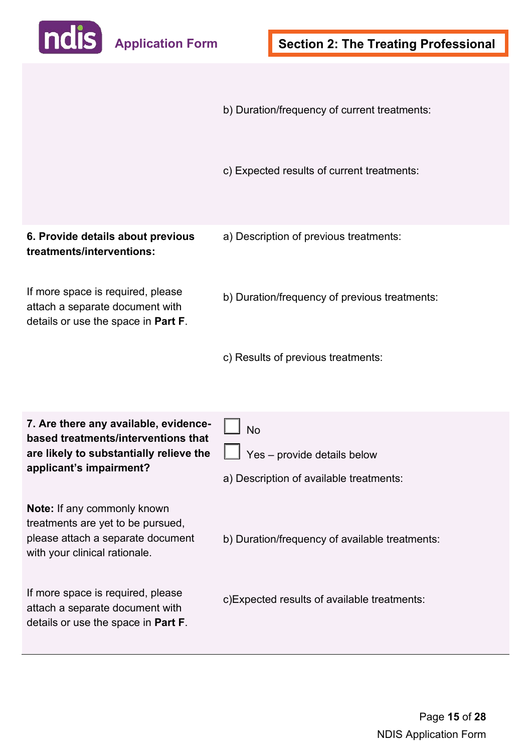

details or use the space in **Part F**.

 b) Duration/frequency of current treatments: If more space is required, please If more space is required, please **6. Provide details about previous treatments/interventions:** attach a separate document with details or use the space in **Part F**. **7. Are there any available, evidencebased treatments/interventions that are likely to substantially relieve the applicant's impairment? Note:** If any commonly known treatments are yet to be pursued, please attach a separate document with your clinical rationale. attach a separate document with c) Expected results of current treatments: a) Description of previous treatments: b) Duration/frequency of previous treatments: c) Results of previous treatments: No Yes – provide details below a) Description of available treatments: b) Duration/frequency of available treatments: c)Expected results of available treatments: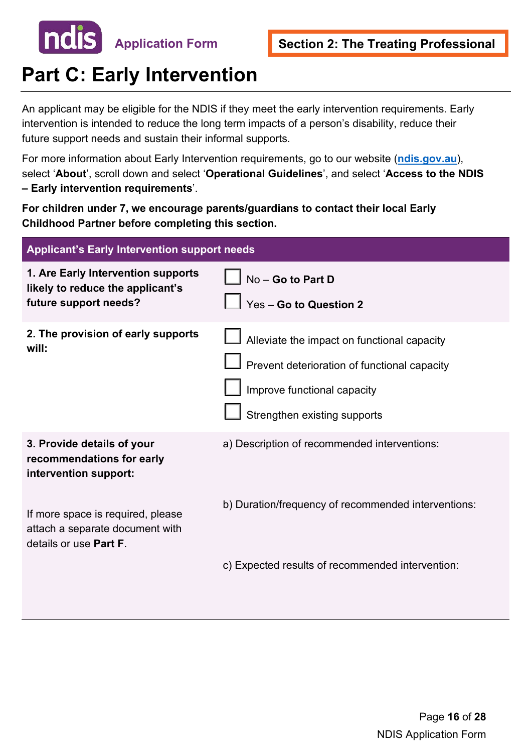

## **Part C: Early Intervention**

An applicant may be eligible for the NDIS if they meet the early intervention requirements. Early intervention is intended to reduce the long term impacts of a person's disability, reduce their future support needs and sustain their informal supports.

For more information about Early Intervention requirements, go to our website (**[ndis.gov.au](https://www.ndis.gov.au/)**), select '**About**', scroll down and select '**Operational Guidelines**', and select '**Access to the NDIS – Early intervention requirements**'.

**For children under 7, we encourage parents/guardians to contact their local Early Childhood Partner before completing this section.** 

| <b>Applicant's Early Intervention support needs</b>                                                                                                      |                                                                                                                                                            |  |  |  |
|----------------------------------------------------------------------------------------------------------------------------------------------------------|------------------------------------------------------------------------------------------------------------------------------------------------------------|--|--|--|
| 1. Are Early Intervention supports<br>likely to reduce the applicant's<br>future support needs?                                                          | No - Go to Part D<br>Yes - Go to Question 2                                                                                                                |  |  |  |
| 2. The provision of early supports<br>will:                                                                                                              | Alleviate the impact on functional capacity<br>Prevent deterioration of functional capacity<br>Improve functional capacity<br>Strengthen existing supports |  |  |  |
| 3. Provide details of your<br>recommendations for early<br>intervention support:<br>If more space is required, please<br>attach a separate document with | a) Description of recommended interventions:<br>b) Duration/frequency of recommended interventions:                                                        |  |  |  |
| details or use <b>Part F</b> .                                                                                                                           | c) Expected results of recommended intervention:                                                                                                           |  |  |  |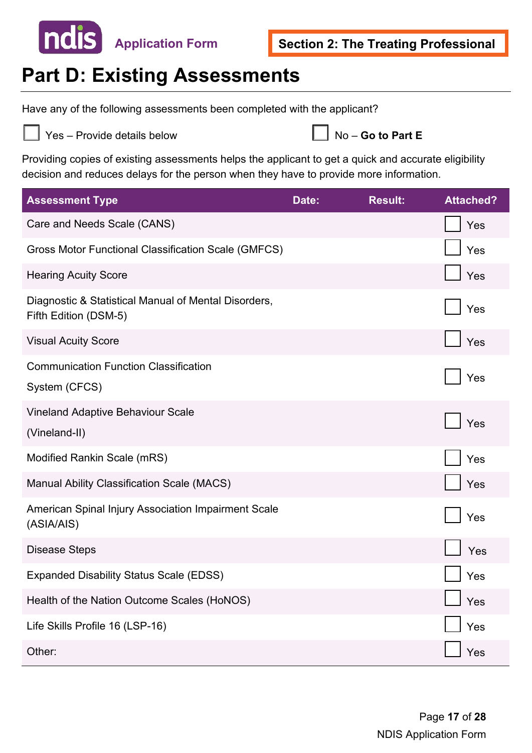

## **Part D: Existing Assessments**

Have any of the following assessments been completed with the applicant?



Yes – Provide details below

|  | $\Box$ No – Go to Part E |  |  |  |  |
|--|--------------------------|--|--|--|--|
|--|--------------------------|--|--|--|--|

Providing copies of existing assessments helps the applicant to get a quick and accurate eligibility decision and reduces delays for the person when they have to provide more information.

| <b>Assessment Type</b>                                                        | Date: | <b>Result:</b> | <b>Attached?</b> |
|-------------------------------------------------------------------------------|-------|----------------|------------------|
| Care and Needs Scale (CANS)                                                   |       |                | Yes              |
| Gross Motor Functional Classification Scale (GMFCS)                           |       |                | Yes              |
| <b>Hearing Acuity Score</b>                                                   |       |                | Yes              |
| Diagnostic & Statistical Manual of Mental Disorders,<br>Fifth Edition (DSM-5) |       |                | Yes              |
| <b>Visual Acuity Score</b>                                                    |       |                | Yes              |
| <b>Communication Function Classification</b><br>System (CFCS)                 |       |                | Yes              |
| <b>Vineland Adaptive Behaviour Scale</b><br>(Vineland-II)                     |       |                | Yes              |
| Modified Rankin Scale (mRS)                                                   |       |                | Yes              |
| <b>Manual Ability Classification Scale (MACS)</b>                             |       |                | Yes              |
| American Spinal Injury Association Impairment Scale<br>(ASIA/AIS)             |       |                | Yes              |
| <b>Disease Steps</b>                                                          |       |                | Yes              |
| <b>Expanded Disability Status Scale (EDSS)</b>                                |       |                | Yes              |
| Health of the Nation Outcome Scales (HoNOS)                                   |       |                | Yes              |
| Life Skills Profile 16 (LSP-16)                                               |       |                | Yes              |
| Other:                                                                        |       |                | Yes              |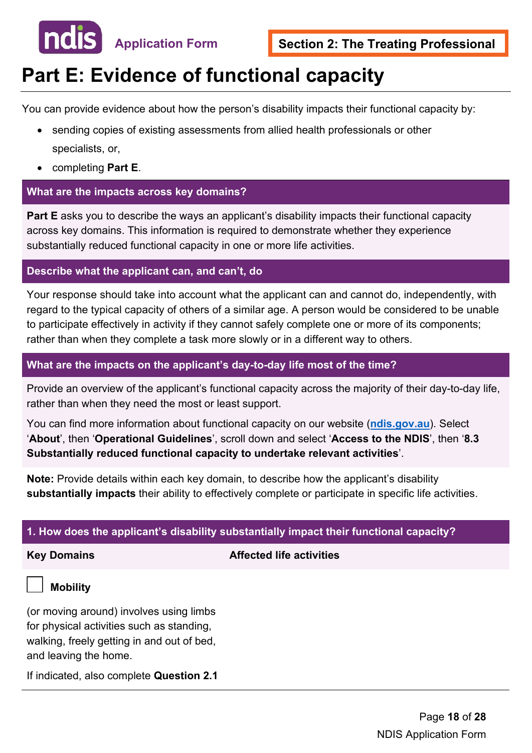

## **Part E: Evidence of functional capacity**

You can provide evidence about how the person's disability impacts their functional capacity by:

- sending copies of existing assessments from allied health professionals or other specialists, or,
- completing **Part E**.

#### **What are the impacts across key domains?**

**Part E** asks you to describe the ways an applicant's disability impacts their functional capacity across key domains. This information is required to demonstrate whether they experience substantially reduced functional capacity in one or more life activities.

#### **Describe what the applicant can, and can't, do**

Your response should take into account what the applicant can and cannot do, independently, with regard to the typical capacity of others of a similar age. A person would be considered to be unable to participate effectively in activity if they cannot safely complete one or more of its components; rather than when they complete a task more slowly or in a different way to others.

#### **What are the impacts on the applicant's day-to-day life most of the time?**

Provide an overview of the applicant's functional capacity across the majority of their day-to-day life, rather than when they need the most or least support.

You can find more information about functional capacity on our website (**[ndis.gov.au](https://www.ndis.gov.au/)**). Select '**About**', then '**Operational Guidelines**', scroll down and select '**Access to the NDIS**', then '**8.3 Substantially reduced functional capacity to undertake relevant activities**'.

**Note:** Provide details within each key domain, to describe how the applicant's disability **substantially impacts** their ability to effectively complete or participate in specific life activities.

#### **1. How does the applicant's disability substantially impact their functional capacity?**

#### **Key Domains Affected life activities**

#### **Mobility**

 walking, freely getting in and out of bed, (or moving around) involves using limbs for physical activities such as standing, and leaving the home.

If indicated, also complete **Question 2.1**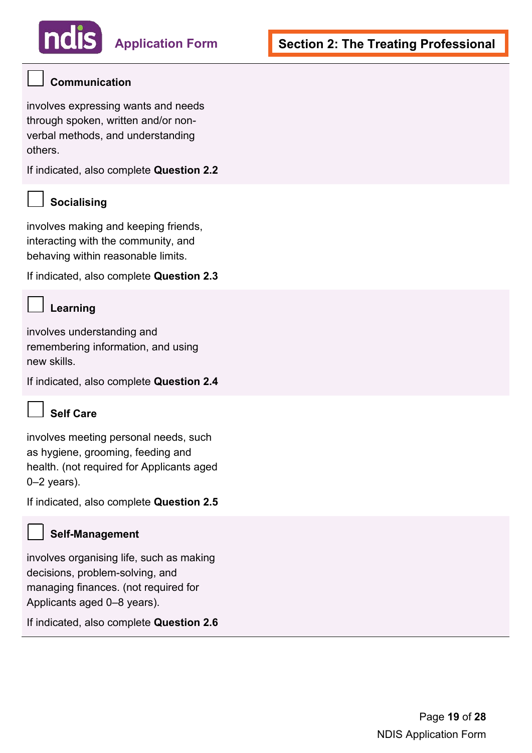#### **Communication**

involves expressing wants and needs through spoken, written and/or nonverbal methods, and understanding others.

If indicated, also complete **Question 2.2** 

#### **Socialising**

involves making and keeping friends, interacting with the community, and behaving within reasonable limits.

If indicated, also complete **Question 2.3** 

### **Learning**

 remembering information, and using involves understanding and new skills.

If indicated, also complete **Question 2.4** 



#### **Self Care**

 involves meeting personal needs, such as hygiene, grooming, feeding and health. (not required for Applicants aged 0–2 years).

If indicated, also complete **Question 2.5** 

#### **Self-Management**

involves organising life, such as making decisions, problem-solving, and managing finances. (not required for Applicants aged 0–8 years).

If indicated, also complete **Question 2.6**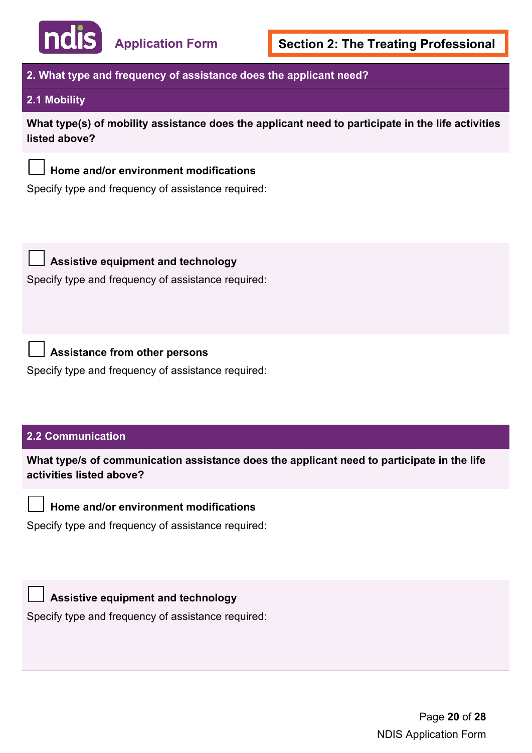

#### **2. What type and frequency of assistance does the applicant need?**

#### **2.1 Mobility**

**What type(s) of mobility assistance does the applicant need to participate in the life activities listed above?** 



 $\overline{\phantom{a}}$ 

#### **Home and/or environment modifications**

Specify type and frequency of assistance required:



 $\overline{\phantom{a}}$ 

#### **Assistive equipment and technology**

Specify type and frequency of assistance required:

### **Assistance from other persons**

Specify type and frequency of assistance required:

#### **2.2 Communication**

**What type/s of communication assistance does the applicant need to participate in the life activities listed above?** 

### **Home and/or environment modifications**

Specify type and frequency of assistance required:

**Assistive equipment and technology**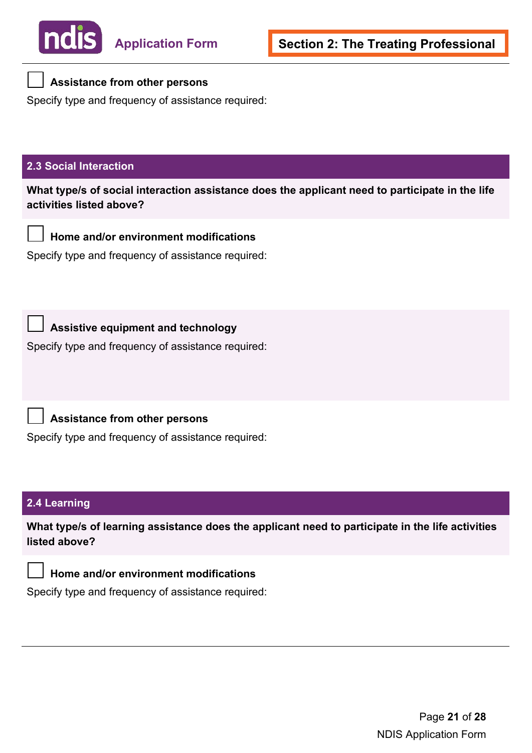

#### **Assistance from other persons**

Specify type and frequency of assistance required:

#### **2.3 Social Interaction**

**What type/s of social interaction assistance does the applicant need to participate in the life activities listed above?** 

**Home and/or environment modifications** 

Specify type and frequency of assistance required:

 $\Box$ 

#### **Assistive equipment and technology**

Specify type and frequency of assistance required:

**Assistance from other persons** 

Specify type and frequency of assistance required:

#### **2.4 Learning**

**What type/s of learning assistance does the applicant need to participate in the life activities listed above?** 



#### **Home and/or environment modifications**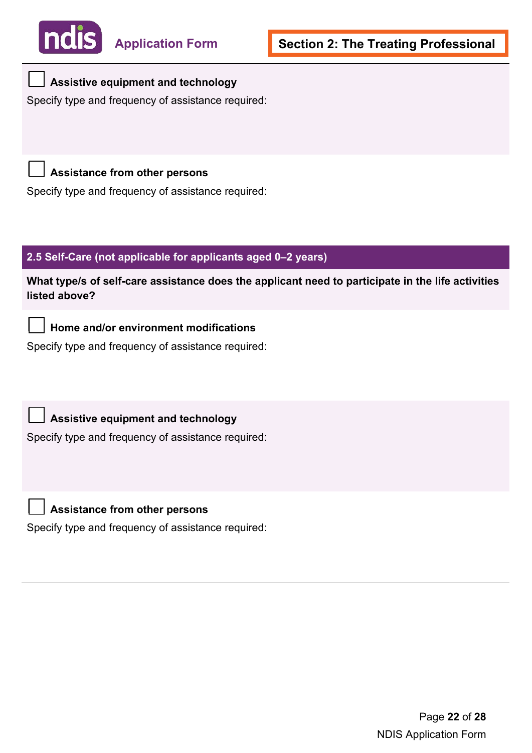

#### **Assistive equipment and technology**   $\overline{\phantom{a}}$

Specify type and frequency of assistance required:

 **Assistance from other persons**   $\overline{\phantom{a}}$ 

Specify type and frequency of assistance required:

#### **2.5 Self-Care (not applicable for applicants aged 0–2 years)**

**What type/s of self-care assistance does the applicant need to participate in the life activities listed above?** 

**Home and/or environment modifications** 

Specify type and frequency of assistance required:

**Assistive equipment and technology** 

Specify type and frequency of assistance required:



 $\overline{\phantom{a}}$ 

 $\overline{\phantom{a}}$ 

**Assistance from other persons**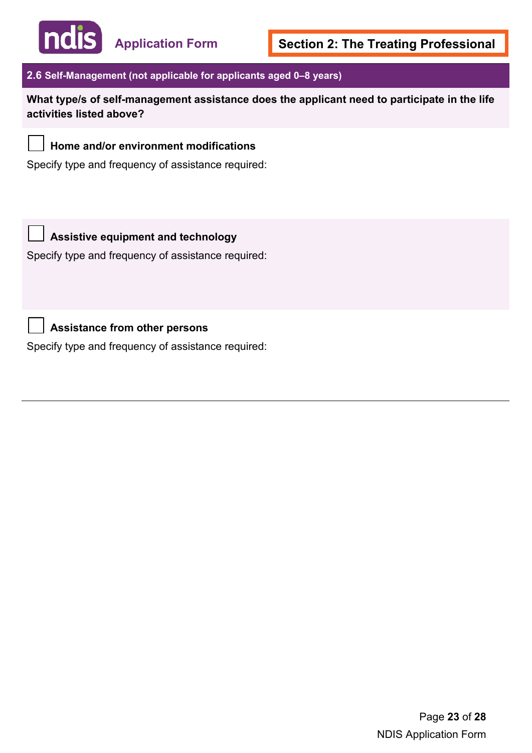

**Application Form** 

#### **2.6 Self-Management (not applicable for applicants aged 0–8 years)**

**What type/s of self-management assistance does the applicant need to participate in the life activities listed above?** 

### **Home and/or environment modifications**

Specify type and frequency of assistance required:

![](_page_22_Picture_8.jpeg)

#### **Assistive equipment and technology**

Specify type and frequency of assistance required:

**Assistance from other persons**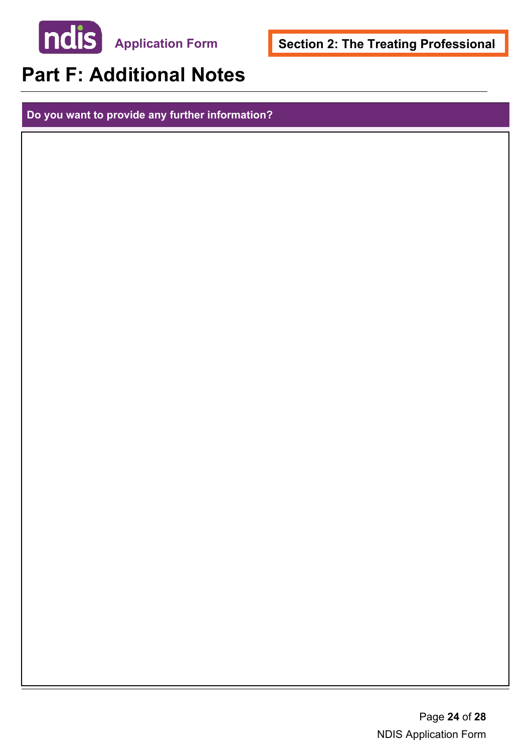![](_page_23_Picture_0.jpeg)

**Section 2: The Treating Professional** 

## **Part F: Additional Notes**

**Do you want to provide any further information?**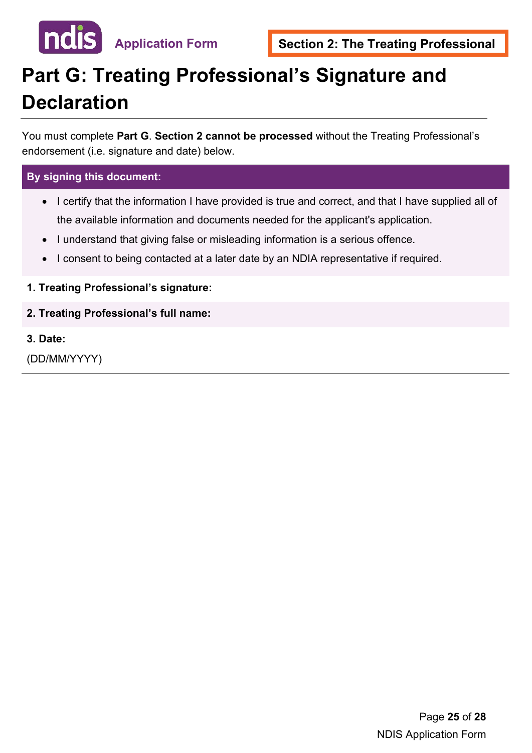![](_page_24_Picture_0.jpeg)

## **Part G: Treating Professional's Signature and Declaration**

 endorsement (i.e. signature and date) below. You must complete **Part G**. **Section 2 cannot be processed** without the Treating Professional's

#### **By signing this document:**

- I certify that the information I have provided is true and correct, and that I have supplied all of the available information and documents needed for the applicant's application.
- I understand that giving false or misleading information is a serious offence.
- I consent to being contacted at a later date by an NDIA representative if required.
- **1. Treating Professional's signature:**
- **2. Treating Professional's full name:**
- **3. Date:**

(DD/MM/YYYY)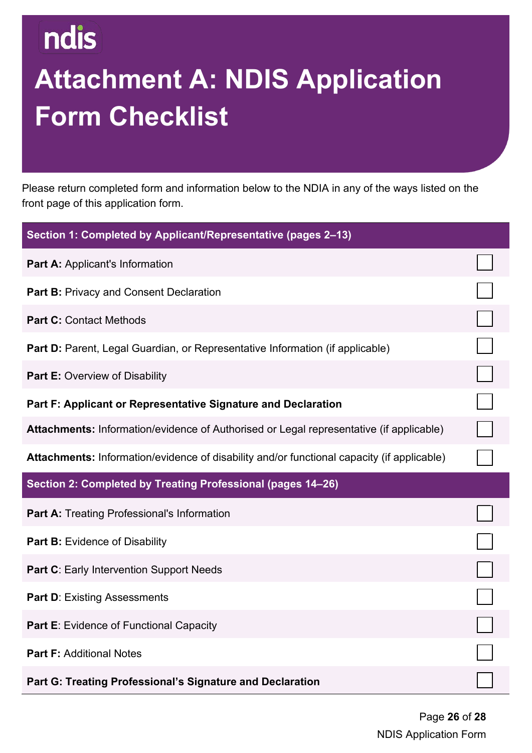## **Attachment A: NDIS Application Form Checklist**

Please return completed form and information below to the NDIA in any of the ways listed on the front page of this application form.

| Section 1: Completed by Applicant/Representative (pages 2-13)                              |  |
|--------------------------------------------------------------------------------------------|--|
| Part A: Applicant's Information                                                            |  |
| Part B: Privacy and Consent Declaration                                                    |  |
| <b>Part C: Contact Methods</b>                                                             |  |
| Part D: Parent, Legal Guardian, or Representative Information (if applicable)              |  |
| <b>Part E: Overview of Disability</b>                                                      |  |
| Part F: Applicant or Representative Signature and Declaration                              |  |
| Attachments: Information/evidence of Authorised or Legal representative (if applicable)    |  |
| Attachments: Information/evidence of disability and/or functional capacity (if applicable) |  |
| Section 2: Completed by Treating Professional (pages 14-26)                                |  |
| <b>Part A: Treating Professional's Information</b>                                         |  |
| Part B: Evidence of Disability                                                             |  |
| Part C: Early Intervention Support Needs                                                   |  |
| <b>Part D: Existing Assessments</b>                                                        |  |
| Part E: Evidence of Functional Capacity                                                    |  |
| <b>Part F: Additional Notes</b>                                                            |  |
| Part G: Treating Professional's Signature and Declaration                                  |  |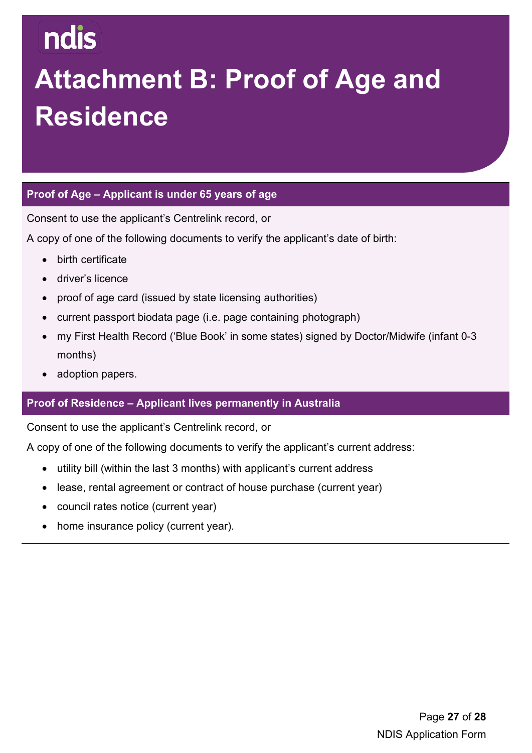## **Attachment B: Proof of Age and Residence**

#### **Proof of Age – Applicant is under 65 years of age**

Consent to use the applicant's Centrelink record, or

A copy of one of the following documents to verify the applicant's date of birth:

- birth certificate
- driver's licence
- proof of age card (issued by state licensing authorities)
- current passport biodata page (i.e. page containing photograph)
- my First Health Record ('Blue Book' in some states) signed by Doctor/Midwife (infant 0-3 months)
- adoption papers.

#### **Proof of Residence – Applicant lives permanently in Australia**

Consent to use the applicant's Centrelink record, or

A copy of one of the following documents to verify the applicant's current address:

- utility bill (within the last 3 months) with applicant's current address
- lease, rental agreement or contract of house purchase (current year)
- council rates notice (current year)
- home insurance policy (current year).